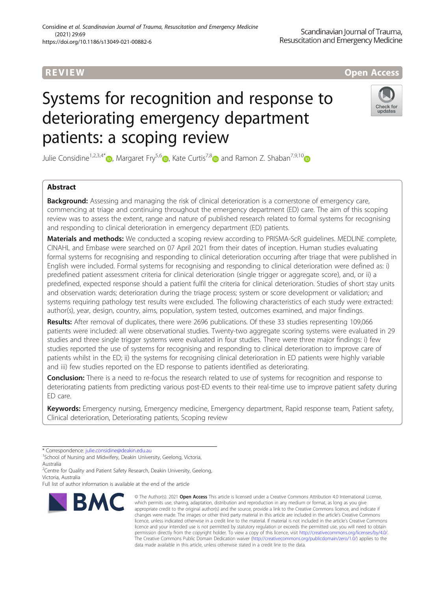# **REVIEW CONSTRUCTION CONTROL**

# Systems for recognition and response to deteriorating emergency department patients: a scoping review



Julie Considine<sup>1[,](https://orcid.org/0000-0003-1265-7096)2,3,4\*</sup>  $\bullet$ , Margaret Fry<sup>5,6</sup>  $\bullet$ , Kate Curtis<sup>7,[8](https://orcid.org/0000-0002-3746-0348)</sup> and Ramon Z. Shaban<sup>7,9,10</sup>

## Abstract

**Background:** Assessing and managing the risk of clinical deterioration is a cornerstone of emergency care, commencing at triage and continuing throughout the emergency department (ED) care. The aim of this scoping review was to assess the extent, range and nature of published research related to formal systems for recognising and responding to clinical deterioration in emergency department (ED) patients.

Materials and methods: We conducted a scoping review according to PRISMA-ScR quidelines. MEDLINE complete, CINAHL and Embase were searched on 07 April 2021 from their dates of inception. Human studies evaluating formal systems for recognising and responding to clinical deterioration occurring after triage that were published in English were included. Formal systems for recognising and responding to clinical deterioration were defined as: i) predefined patient assessment criteria for clinical deterioration (single trigger or aggregate score), and, or ii) a predefined, expected response should a patient fulfil the criteria for clinical deterioration. Studies of short stay units and observation wards; deterioration during the triage process; system or score development or validation; and systems requiring pathology test results were excluded. The following characteristics of each study were extracted: author(s), year, design, country, aims, population, system tested, outcomes examined, and major findings.

Results: After removal of duplicates, there were 2696 publications. Of these 33 studies representing 109,066 patients were included: all were observational studies. Twenty-two aggregate scoring systems were evaluated in 29 studies and three single trigger systems were evaluated in four studies. There were three major findings: i) few studies reported the use of systems for recognising and responding to clinical deterioration to improve care of patients whilst in the ED; ii) the systems for recognising clinical deterioration in ED patients were highly variable and iii) few studies reported on the ED response to patients identified as deteriorating.

**Conclusion:** There is a need to re-focus the research related to use of systems for recognition and response to deteriorating patients from predicting various post-ED events to their real-time use to improve patient safety during ED care.

Keywords: Emergency nursing, Emergency medicine, Emergency department, Rapid response team, Patient safety, Clinical deterioration, Deteriorating patients, Scoping review

\* Correspondence: [julie.considine@deakin.edu.au](mailto:julie.considine@deakin.edu.au) <sup>1</sup>

<sup>1</sup>School of Nursing and Midwifery, Deakin University, Geelong, Victoria, Australia

<sup>2</sup> Centre for Quality and Patient Safety Research, Deakin University, Geelong, Victoria, Australia

Full list of author information is available at the end of the article



<sup>©</sup> The Author(s), 2021 **Open Access** This article is licensed under a Creative Commons Attribution 4.0 International License, which permits use, sharing, adaptation, distribution and reproduction in any medium or format, as long as you give appropriate credit to the original author(s) and the source, provide a link to the Creative Commons licence, and indicate if changes were made. The images or other third party material in this article are included in the article's Creative Commons licence, unless indicated otherwise in a credit line to the material. If material is not included in the article's Creative Commons licence and your intended use is not permitted by statutory regulation or exceeds the permitted use, you will need to obtain permission directly from the copyright holder. To view a copy of this licence, visit [http://creativecommons.org/licenses/by/4.0/.](http://creativecommons.org/licenses/by/4.0/) The Creative Commons Public Domain Dedication waiver [\(http://creativecommons.org/publicdomain/zero/1.0/](http://creativecommons.org/publicdomain/zero/1.0/)) applies to the data made available in this article, unless otherwise stated in a credit line to the data.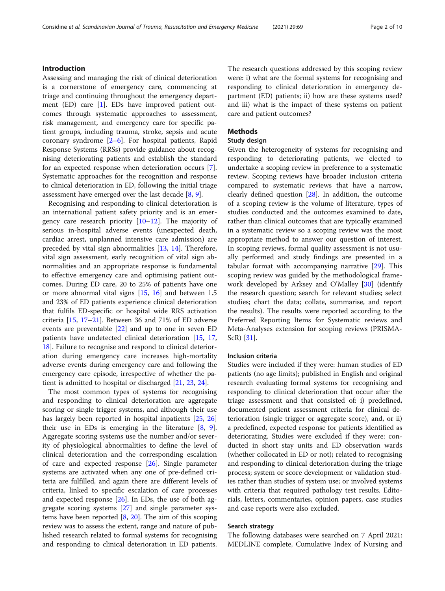### Introduction

Assessing and managing the risk of clinical deterioration is a cornerstone of emergency care, commencing at triage and continuing throughout the emergency department (ED) care [\[1](#page-8-0)]. EDs have improved patient outcomes through systematic approaches to assessment, risk management, and emergency care for specific patient groups, including trauma, stroke, sepsis and acute coronary syndrome  $[2-6]$  $[2-6]$  $[2-6]$ . For hospital patients, Rapid Response Systems (RRSs) provide guidance about recognising deteriorating patients and establish the standard for an expected response when deterioration occurs [\[7](#page-8-0)]. Systematic approaches for the recognition and response to clinical deterioration in ED, following the initial triage assessment have emerged over the last decade [[8,](#page-8-0) [9\]](#page-8-0).

Recognising and responding to clinical deterioration is an international patient safety priority and is an emergency care research priority [[10](#page-8-0)–[12](#page-8-0)]. The majority of serious in-hospital adverse events (unexpected death, cardiac arrest, unplanned intensive care admission) are preceded by vital sign abnormalities [[13](#page-8-0), [14](#page-8-0)]. Therefore, vital sign assessment, early recognition of vital sign abnormalities and an appropriate response is fundamental to effective emergency care and optimising patient outcomes. During ED care, 20 to 25% of patients have one or more abnormal vital signs [[15,](#page-8-0) [16\]](#page-8-0) and between 1.5 and 23% of ED patients experience clinical deterioration that fulfils ED-specific or hospital wide RRS activation criteria [\[15](#page-8-0), [17](#page-8-0)–[21](#page-8-0)]. Between 36 and 71% of ED adverse events are preventable [\[22](#page-8-0)] and up to one in seven ED patients have undetected clinical deterioration [[15,](#page-8-0) [17](#page-8-0), [18\]](#page-8-0). Failure to recognise and respond to clinical deterioration during emergency care increases high-mortality adverse events during emergency care and following the emergency care episode, irrespective of whether the patient is admitted to hospital or discharged [[21](#page-8-0), [23](#page-8-0), [24](#page-8-0)].

The most common types of systems for recognising and responding to clinical deterioration are aggregate scoring or single trigger systems, and although their use has largely been reported in hospital inpatients [[25,](#page-8-0) [26](#page-8-0)] their use in EDs is emerging in the literature  $[8, 9]$  $[8, 9]$  $[8, 9]$  $[8, 9]$  $[8, 9]$ . Aggregate scoring systems use the number and/or severity of physiological abnormalities to define the level of clinical deterioration and the corresponding escalation of care and expected response [\[26](#page-8-0)]. Single parameter systems are activated when any one of pre-defined criteria are fulfilled, and again there are different levels of criteria, linked to specific escalation of care processes and expected response [\[26](#page-8-0)]. In EDs, the use of both aggregate scoring systems [[27\]](#page-8-0) and single parameter systems have been reported  $[8, 20]$  $[8, 20]$  $[8, 20]$  $[8, 20]$  $[8, 20]$ . The aim of this scoping review was to assess the extent, range and nature of published research related to formal systems for recognising and responding to clinical deterioration in ED patients.

The research questions addressed by this scoping review were: i) what are the formal systems for recognising and responding to clinical deterioration in emergency department (ED) patients; ii) how are these systems used? and iii) what is the impact of these systems on patient care and patient outcomes?

#### Methods

#### Study design

Given the heterogeneity of systems for recognising and responding to deteriorating patients, we elected to undertake a scoping review in preference to a systematic review. Scoping reviews have broader inclusion criteria compared to systematic reviews that have a narrow, clearly defined question [[28](#page-8-0)]. In addition, the outcome of a scoping review is the volume of literature, types of studies conducted and the outcomes examined to date, rather than clinical outcomes that are typically examined in a systematic review so a scoping review was the most appropriate method to answer our question of interest. In scoping reviews, formal quality assessment is not usually performed and study findings are presented in a tabular format with accompanying narrative [\[29](#page-8-0)]. This scoping review was guided by the methodological framework developed by Arksey and O'Malley [\[30\]](#page-8-0) (identify the research question; search for relevant studies; select studies; chart the data; collate, summarise, and report the results). The results were reported according to the Preferred Reporting Items for Systematic reviews and Meta-Analyses extension for scoping reviews (PRISMA-ScR) [\[31](#page-8-0)].

#### Inclusion criteria

Studies were included if they were: human studies of ED patients (no age limits); published in English and original research evaluating formal systems for recognising and responding to clinical deterioration that occur after the triage assessment and that consisted of: i) predefined, documented patient assessment criteria for clinical deterioration (single trigger or aggregate score), and, or ii) a predefined, expected response for patients identified as deteriorating. Studies were excluded if they were: conducted in short stay units and ED observation wards (whether collocated in ED or not); related to recognising and responding to clinical deterioration during the triage process; system or score development or validation studies rather than studies of system use; or involved systems with criteria that required pathology test results. Editorials, letters, commentaries, opinion papers, case studies and case reports were also excluded.

#### Search strategy

The following databases were searched on 7 April 2021: MEDLINE complete, Cumulative Index of Nursing and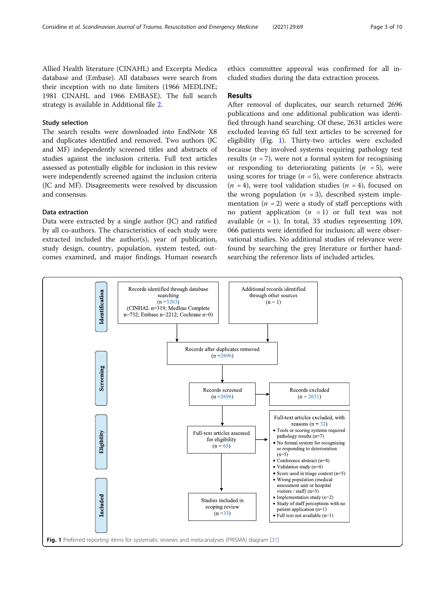Allied Health literature (CINAHL) and Excerpta Medica database and (Embase). All databases were search from their inception with no date limiters (1966 MEDLINE; 1981 CINAHL and 1966 EMBASE). The full search strategy is available in Additional file [2.](#page-7-0)

### Study selection

The search results were downloaded into EndNote X8 and duplicates identified and removed. Two authors (JC and MF) independently screened titles and abstracts of studies against the inclusion criteria. Full text articles assessed as potentially eligible for inclusion in this review were independently screened against the inclusion criteria (JC and MF). Disagreements were resolved by discussion and consensus.

#### Data extraction

Data were extracted by a single author (JC) and ratified by all co-authors. The characteristics of each study were extracted included the author(s), year of publication, study design, country, population, system tested, outcomes examined, and major findings. Human research ethics committee approval was confirmed for all included studies during the data extraction process.

#### Results

After removal of duplicates, our search returned 2696 publications and one additional publication was identified through hand searching. Of these, 2631 articles were excluded leaving 65 full text articles to be screened for eligibility (Fig. 1). Thirty-two articles were excluded because they involved systems requiring pathology test results ( $n = 7$ ), were not a formal system for recognising or responding to deteriorating patients  $(n = 5)$ , were using scores for triage  $(n = 5)$ , were conference abstracts  $(n = 4)$ , were tool validation studies  $(n = 4)$ , focused on the wrong population  $(n = 3)$ , described system implementation ( $n = 2$ ) were a study of staff perceptions with no patient application  $(n = 1)$  or full text was not available  $(n = 1)$ . In total, 33 studies representing 109, 066 patients were identified for inclusion; all were observational studies. No additional studies of relevance were found by searching the grey literature or further handsearching the reference lists of included articles.

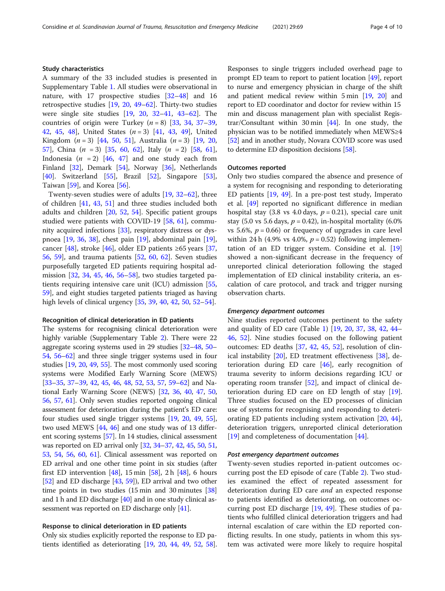#### Study characteristics

A summary of the 33 included studies is presented in Supplementary Table [1.](#page-7-0) All studies were observational in nature, with 17 prospective studies [[32](#page-8-0)–[48](#page-9-0)] and 16 retrospective studies [\[19,](#page-8-0) [20,](#page-8-0) [49](#page-9-0)–[62](#page-9-0)]. Thirty-two studies were single site studies [\[19](#page-8-0), [20,](#page-8-0) [32](#page-8-0)–[41](#page-9-0), [43](#page-9-0)–[62](#page-9-0)]. The countries of origin were Turkey  $(n = 8)$  [\[33](#page-8-0), [34](#page-8-0), [37](#page-9-0)–[39](#page-9-0), [42,](#page-9-0) [45,](#page-9-0) [48\]](#page-9-0), United States  $(n = 3)$  [[41,](#page-9-0) [43,](#page-9-0) [49](#page-9-0)], United Kingdom  $(n = 3)$  [\[44,](#page-9-0) [50,](#page-9-0) [51](#page-9-0)], Australia  $(n = 3)$  [[19,](#page-8-0) [20](#page-8-0), [57\]](#page-9-0), China  $(n = 3)$  [[35,](#page-9-0) [60,](#page-9-0) [62\]](#page-9-0), Italy  $(n = 2)$  [\[58](#page-9-0), [61](#page-9-0)], Indonesia ( $n = 2$ ) [[46,](#page-9-0) [47](#page-9-0)] and one study each from Finland [\[32](#page-8-0)], Demark [\[54](#page-9-0)], Norway [[36\]](#page-9-0), Netherlands [[40\]](#page-9-0). Switzerland  $[55]$ , Brazil  $[52]$ , Singapore [\[53](#page-9-0)], Taiwan [[59\]](#page-9-0), and Korea [\[56](#page-9-0)].

Twenty-seven studies were of adults [\[19](#page-8-0), [32](#page-8-0)–[62](#page-9-0)], three of children [\[41,](#page-9-0) [43,](#page-9-0) [51](#page-9-0)] and three studies included both adults and children [[20](#page-8-0), [52](#page-9-0), [54](#page-9-0)]. Specific patient groups studied were patients with COVID-19 [[58](#page-9-0), [61\]](#page-9-0), community acquired infections [[33\]](#page-8-0), respiratory distress or dyspnoea [[19,](#page-8-0) [36](#page-9-0), [38\]](#page-9-0), chest pain [\[19\]](#page-8-0), abdominal pain [\[19](#page-8-0)], cancer [[48\]](#page-9-0), stroke [[46\]](#page-9-0), older ED patients ≥65 years [[37](#page-9-0), [56,](#page-9-0) [59](#page-9-0)], and trauma patients [\[52](#page-9-0), [60](#page-9-0), [62](#page-9-0)]. Seven studies purposefully targeted ED patients requiring hospital admission [[32](#page-8-0), [34,](#page-8-0) [45](#page-9-0), [46,](#page-9-0) [56](#page-9-0)–[58\]](#page-9-0), two studies targeted patients requiring intensive care unit (ICU) admission [[55](#page-9-0), [59\]](#page-9-0), and eight studies targeted patients triaged as having high levels of clinical urgency [[35,](#page-9-0) [39,](#page-9-0) [40](#page-9-0), [42](#page-9-0), [50](#page-9-0), [52](#page-9-0)–[54\]](#page-9-0).

#### Recognition of clinical deterioration in ED patients

The systems for recognising clinical deterioration were highly variable (Supplementary Table [2\)](#page-7-0). There were 22 aggregate scoring systems used in 29 studies [\[32](#page-8-0)–[48,](#page-9-0) [50](#page-9-0)– [54](#page-9-0), [56](#page-9-0)–[62](#page-9-0)] and three single trigger systems used in four studies [\[19](#page-8-0), [20,](#page-8-0) [49](#page-9-0), [55](#page-9-0)]. The most commonly used scoring systems were Modified Early Warning Score (MEWS) [[33](#page-8-0)–[35,](#page-9-0) [37](#page-9-0)–[39](#page-9-0), [42](#page-9-0), [45](#page-9-0), [46](#page-9-0), [48](#page-9-0), [52](#page-9-0), [53](#page-9-0), [57](#page-9-0), [59](#page-9-0)–[62\]](#page-9-0) and National Early Warning Score (NEWS) [\[32,](#page-8-0) [36,](#page-9-0) [40,](#page-9-0) [47](#page-9-0), [50](#page-9-0), [56](#page-9-0), [57,](#page-9-0) [61\]](#page-9-0). Only seven studies reported ongoing clinical assessment for deterioration during the patient's ED care: four studies used single trigger systems [[19](#page-8-0), [20](#page-8-0), [49](#page-9-0), [55](#page-9-0)], two used MEWS [\[44,](#page-9-0) [46\]](#page-9-0) and one study was of 13 different scoring systems [\[57\]](#page-9-0). In 14 studies, clinical assessment was reported on ED arrival only [[32](#page-8-0), [34](#page-8-0)–[37](#page-9-0), [42,](#page-9-0) [45](#page-9-0), [50,](#page-9-0) [51](#page-9-0), [53](#page-9-0), [54](#page-9-0), [56](#page-9-0), [60](#page-9-0), [61](#page-9-0)]. Clinical assessment was reported on ED arrival and one other time point in six studies (after first ED intervention  $[48]$  $[48]$  $[48]$ , 15 min  $[58]$ , 2 h  $[48]$ , 6 hours [[52](#page-9-0)] and ED discharge [\[43,](#page-9-0) [59\]](#page-9-0)), ED arrival and two other time points in two studies (15 min and 30 minutes [[38](#page-9-0)] and 1 h and ED discharge [\[40\]](#page-9-0) and in one study clinical assessment was reported on ED discharge only [\[41\]](#page-9-0).

#### Response to clinical deterioration in ED patients

Only six studies explicitly reported the response to ED patients identified as deteriorating [[19](#page-8-0), [20](#page-8-0), [44](#page-9-0), [49](#page-9-0), [52](#page-9-0), [58](#page-9-0)]. Responses to single triggers included overhead page to prompt ED team to report to patient location [[49](#page-9-0)], report to nurse and emergency physician in charge of the shift and patient medical review within 5 min [\[19,](#page-8-0) [20](#page-8-0)] and report to ED coordinator and doctor for review within 15 min and discuss management plan with specialist Registrar/Consultant within 30 min [[44](#page-9-0)]. In one study, the physician was to be notified immediately when MEWS≥4 [[52](#page-9-0)] and in another study, Novara COVID score was used to determine ED disposition decisions [\[58\]](#page-9-0).

#### Outcomes reported

Only two studies compared the absence and presence of a system for recognising and responding to deteriorating ED patients [[19](#page-8-0), [49](#page-9-0)]. In a pre-post test study, Imperato et al. [\[49](#page-9-0)] reported no significant difference in median hospital stay (3.8 vs 4.0 days,  $p = 0.21$ ), special care unit stay (5.0 vs 5.6 days,  $p = 0.42$ ), in-hospital mortality (6.0%) vs 5.6%,  $p = 0.66$ ) or frequency of upgrades in care level within 24 h (4.9% vs 4.0%,  $p = 0.52$ ) following implementation of an ED trigger system. Considine et al. [[19](#page-8-0)] showed a non-significant decrease in the frequency of unreported clinical deterioration following the staged implementation of ED clinical instability criteria, an escalation of care protocol, and track and trigger nursing observation charts.

#### Emergency department outcomes

Nine studies reported outcomes pertinent to the safety and quality of ED care (Table [1](#page-4-0)) [\[19,](#page-8-0) [20](#page-8-0), [37,](#page-9-0) [38,](#page-9-0) [42](#page-9-0), [44](#page-9-0)– [46,](#page-9-0) [52](#page-9-0)]. Nine studies focused on the following patient outcomes: ED deaths [[37,](#page-9-0) [42](#page-9-0), [45,](#page-9-0) [52](#page-9-0)], resolution of clinical instability [\[20\]](#page-8-0), ED treatment effectiveness [\[38](#page-9-0)], deterioration during ED care  $[46]$  $[46]$  $[46]$ , early recognition of trauma severity to inform decisions regarding ICU or operating room transfer [\[52](#page-9-0)], and impact of clinical deterioration during ED care on ED length of stay [\[19](#page-8-0)]. Three studies focused on the ED processes of clinician use of systems for recognising and responding to deteriorating ED patients including system activation [\[20,](#page-8-0) [44](#page-9-0)], deterioration triggers, unreported clinical deterioration [[19\]](#page-8-0) and completeness of documentation [\[44](#page-9-0)].

#### Post emergency department outcomes

Twenty-seven studies reported in-patient outcomes occurring post the ED episode of care (Table [2\)](#page-6-0). Two studies examined the effect of repeated assessment for deterioration during ED care *and* an expected response to patients identified as deteriorating, on outcomes occurring post ED discharge [\[19,](#page-8-0) [49](#page-9-0)]. These studies of patients who fulfilled clinical deterioration triggers and had internal escalation of care within the ED reported conflicting results. In one study, patients in whom this system was activated were more likely to require hospital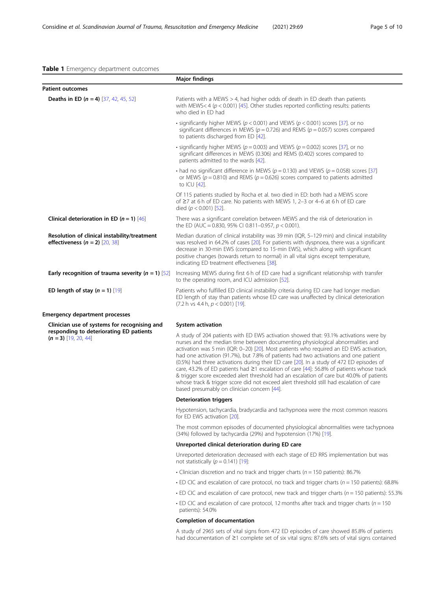### <span id="page-4-0"></span>Table 1 Emergency department outcomes

|                                                                                  | <b>Major findings</b>                                                                                                                                                                                                                                                                                                                                                                                                                                                                                                                                                                                                                                                                                                                                                                          |  |  |  |  |
|----------------------------------------------------------------------------------|------------------------------------------------------------------------------------------------------------------------------------------------------------------------------------------------------------------------------------------------------------------------------------------------------------------------------------------------------------------------------------------------------------------------------------------------------------------------------------------------------------------------------------------------------------------------------------------------------------------------------------------------------------------------------------------------------------------------------------------------------------------------------------------------|--|--|--|--|
| <b>Patient outcomes</b>                                                          |                                                                                                                                                                                                                                                                                                                                                                                                                                                                                                                                                                                                                                                                                                                                                                                                |  |  |  |  |
| <b>Deaths in ED (n = 4)</b> [37, 42, 45, 52]                                     | Patients with a MEWS $>$ 4, had higher odds of death in ED death than patients<br>with MEWS< 4 ( $p < 0.001$ ) [45]. Other studies reported conflicting results: patients<br>who died in ED had                                                                                                                                                                                                                                                                                                                                                                                                                                                                                                                                                                                                |  |  |  |  |
|                                                                                  | • significantly higher MEWS ( $p < 0.001$ ) and VIEWS ( $p < 0.001$ ) scores [37]. or no<br>significant differences in MEWS ( $p = 0.726$ ) and REMS ( $p = 0.057$ ) scores compared<br>to patients discharged from ED [42].                                                                                                                                                                                                                                                                                                                                                                                                                                                                                                                                                                   |  |  |  |  |
|                                                                                  | • significantly higher MEWS ( $p = 0.003$ ) and VIEWS ( $p = 0.002$ ) scores [37], or no<br>significant differences in MEWS (0.306) and REMS (0.402) scores compared to<br>patients admitted to the wards [42].                                                                                                                                                                                                                                                                                                                                                                                                                                                                                                                                                                                |  |  |  |  |
|                                                                                  | • had no significant difference in MEWS ( $p = 0.130$ ) and VIEWS ( $p = 0.058$ ) scores [37]<br>or MEWS ( $p = 0.810$ ) and REMS ( $p = 0.626$ ) scores compared to patients admitted<br>to ICU [42].                                                                                                                                                                                                                                                                                                                                                                                                                                                                                                                                                                                         |  |  |  |  |
|                                                                                  | Of 115 patients studied by Rocha et al. two died in ED: both had a MEWS score<br>of $\geq$ 7 at 6 h of ED care. No patients with MEWS 1, 2-3 or 4-6 at 6 h of ED care<br>died ( $p < 0.001$ ) [52].                                                                                                                                                                                                                                                                                                                                                                                                                                                                                                                                                                                            |  |  |  |  |
| Clinical deterioration in ED ( $n = 1$ ) [46]                                    | There was a significant correlation between MEWS and the risk of deterioration in<br>the ED (AUC = 0.830, 95% CI 0.811-0.957, $p < 0.001$ ).                                                                                                                                                                                                                                                                                                                                                                                                                                                                                                                                                                                                                                                   |  |  |  |  |
| Resolution of clinical instability/treatment<br>effectiveness $(n = 2)$ [20, 38] | Median duration of clinical instability was 39 min (IQR, 5–129 min) and clinical instability<br>was resolved in 64.2% of cases [20]. For patients with dyspnoea, there was a significant<br>decrease in 30-min EWS (compared to 15-min EWS), which along with significant<br>positive changes (towards return to normal) in all vital signs except temperature,<br>indicating ED treatment effectiveness [38].                                                                                                                                                                                                                                                                                                                                                                                 |  |  |  |  |
| Early recognition of trauma severity ( $n = 1$ ) [52]                            | Increasing MEWS during first 6 h of ED care had a significant relationship with transfer<br>to the operating room, and ICU admission [52].                                                                                                                                                                                                                                                                                                                                                                                                                                                                                                                                                                                                                                                     |  |  |  |  |
| ED length of stay $(n = 1)$ [19]                                                 | Patients who fulfilled ED clinical instability criteria during ED care had longer median<br>ED length of stay than patients whose ED care was unaffected by clinical deterioration<br>$(7.2 h vs 4.4 h, p < 0.001)$ [19].                                                                                                                                                                                                                                                                                                                                                                                                                                                                                                                                                                      |  |  |  |  |
| <b>Emergency department processes</b>                                            |                                                                                                                                                                                                                                                                                                                                                                                                                                                                                                                                                                                                                                                                                                                                                                                                |  |  |  |  |
| Clinician use of systems for recognising and                                     | System activation                                                                                                                                                                                                                                                                                                                                                                                                                                                                                                                                                                                                                                                                                                                                                                              |  |  |  |  |
| responding to deteriorating ED patients<br>$(n = 3)$ [19, 20, 44]                | A study of 204 patients with ED EWS activation showed that: 93.1% activations were by<br>nurses and the median time between documenting physiological abnormalities and<br>activation was 5 min (IQR: 0-20) [20]. Most patients who required an ED EWS activation,<br>had one activation (91.7%), but 7.8% of patients had two activations and one patient<br>(0.5%) had three activations during their ED care [20]. In a study of 472 ED episodes of<br>care, 43.2% of ED patients had $\geq$ 1 escalation of care [44]: 56.8% of patients whose track<br>& trigger score exceeded alert threshold had an escalation of care but 40.0% of patients<br>whose track & trigger score did not exceed alert threshold still had escalation of care<br>based presumably on clinician concern [44]. |  |  |  |  |
|                                                                                  | <b>Deterioration triggers</b>                                                                                                                                                                                                                                                                                                                                                                                                                                                                                                                                                                                                                                                                                                                                                                  |  |  |  |  |
|                                                                                  | Hypotension, tachycardia, bradycardia and tachypnoea were the most common reasons<br>for ED EWS activation [20].                                                                                                                                                                                                                                                                                                                                                                                                                                                                                                                                                                                                                                                                               |  |  |  |  |
|                                                                                  | The most common episodes of documented physiological abnormalities were tachypnoea<br>(34%) followed by tachycardia (29%) and hypotension (17%) [19].                                                                                                                                                                                                                                                                                                                                                                                                                                                                                                                                                                                                                                          |  |  |  |  |
|                                                                                  | Unreported clinical deterioration during ED care                                                                                                                                                                                                                                                                                                                                                                                                                                                                                                                                                                                                                                                                                                                                               |  |  |  |  |

Unreported deterioration decreased with each stage of ED RRS implementation but was not statistically  $(p = 0.141)$  [\[19](#page-8-0)]:

- Clinician discretion and no track and trigger charts ( $n = 150$  patients): 86.7%
- $\cdot$  ED CIC and escalation of care protocol, no track and trigger charts ( $n = 150$  patients): 68.8%
- $\cdot$  ED CIC and escalation of care protocol, new track and trigger charts ( $n = 150$  patients): 55.3%
- $\cdot$  ED CIC and escalation of care protocol, 12 months after track and trigger charts ( $n = 150$ patients): 54.0%

#### Completion of documentation

A study of 2965 sets of vital signs from 472 ED episodes of care showed 85.8% of patients had documentation of ≥1 complete set of six vital signs: 87.6% sets of vital signs contained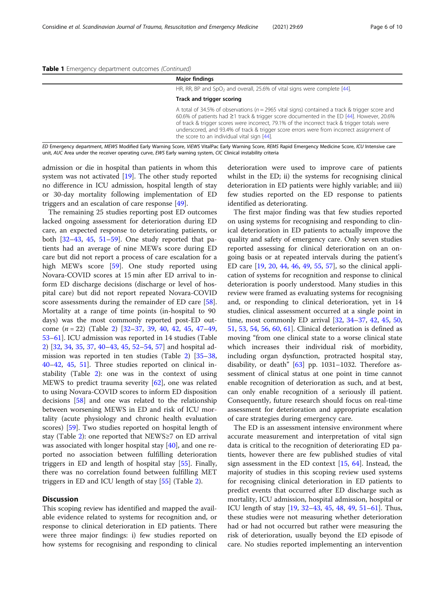| <b>Major findings</b>                                                                                                                                                                                                                                                                                                                                                                                                                   |
|-----------------------------------------------------------------------------------------------------------------------------------------------------------------------------------------------------------------------------------------------------------------------------------------------------------------------------------------------------------------------------------------------------------------------------------------|
| HR, RR, BP and SpO <sub>2</sub> and overall, 25.6% of vital signs were complete [44].                                                                                                                                                                                                                                                                                                                                                   |
| Track and trigger scoring                                                                                                                                                                                                                                                                                                                                                                                                               |
| A total of 34.5% of observations ( $n = 2965$ vital signs) contained a track & trigger score and<br>60.6% of patients had ≥1 track & trigger score documented in the ED [44]. However, 20.6%<br>of track & trigger scores were incorrect, 79.1% of the incorrect track & trigger totals were<br>underscored, and 93.4% of track & trigger score errors were from incorrect assignment of<br>the score to an individual vital sign [44]. |

ED Emergency department, MEWS Modified Early Warning Score, ViEWS VitalPac Early Warning Score, REMS Rapid Emergency Medicine Score, ICU Intensive care unit, AUC Area under the receiver operating curve, EWS Early warning system, CIC Clinical instability criteria

admission or die in hospital than patients in whom this system was not activated [[19](#page-8-0)]. The other study reported no difference in ICU admission, hospital length of stay or 30-day mortality following implementation of ED triggers and an escalation of care response [[49\]](#page-9-0).

The remaining 25 studies reporting post ED outcomes lacked ongoing assessment for deterioration during ED care, an expected response to deteriorating patients, or both [\[32](#page-8-0)–[43,](#page-9-0) [45,](#page-9-0) [51](#page-9-0)–[59](#page-9-0)]. One study reported that patients had an average of nine MEWs score during ED care but did not report a process of care escalation for a high MEWs score [[59\]](#page-9-0). One study reported using Novara-COVID scores at 15 min after ED arrival to inform ED discharge decisions (discharge or level of hospital care) but did not report repeated Novara-COVID score assessments during the remainder of ED care [\[58](#page-9-0)]. Mortality at a range of time points (in-hospital to 90 days) was the most commonly reported post-ED outcome  $(n = 22)$  $(n = 22)$  $(n = 22)$  (Table 2) [\[32](#page-8-0)–[37,](#page-9-0) [39](#page-9-0), [40](#page-9-0), [42,](#page-9-0) [45](#page-9-0), [47](#page-9-0)–[49](#page-9-0), [53](#page-9-0)–[61](#page-9-0)]. ICU admission was reported in 14 studies (Table [2\)](#page-6-0) [\[32,](#page-8-0) [34,](#page-8-0) [35,](#page-9-0) [37](#page-9-0), [40](#page-9-0)–[43,](#page-9-0) [45,](#page-9-0) [52](#page-9-0)–[54,](#page-9-0) [57\]](#page-9-0) and hospital admission was reported in ten studies (Table [2\)](#page-6-0) [[35](#page-9-0)–[38](#page-9-0), [40](#page-9-0)–[42](#page-9-0), [45](#page-9-0), [51](#page-9-0)]. Three studies reported on clinical instability (Table [2\)](#page-6-0): one was in the context of using MEWS to predict trauma severity [[62\]](#page-9-0), one was related to using Novara-COVID scores to inform ED disposition decisions [[58\]](#page-9-0) and one was related to the relationship between worsening MEWS in ED and risk of ICU mortality (acute physiology and chronic health evaluation scores) [[59\]](#page-9-0). Two studies reported on hospital length of stay (Table [2\)](#page-6-0): one reported that NEWS≥7 on ED arrival was associated with longer hospital stay [\[40\]](#page-9-0), and one reported no association between fulfilling deterioration triggers in ED and length of hospital stay [[55\]](#page-9-0). Finally, there was no correlation found between fulfilling MET triggers in ED and ICU length of stay [\[55\]](#page-9-0) (Table [2](#page-6-0)).

#### **Discussion**

This scoping review has identified and mapped the available evidence related to systems for recognition and, or response to clinical deterioration in ED patients. There were three major findings: i) few studies reported on how systems for recognising and responding to clinical

deterioration were used to improve care of patients whilst in the ED; ii) the systems for recognising clinical deterioration in ED patients were highly variable; and iii) few studies reported on the ED response to patients identified as deteriorating.

The first major finding was that few studies reported on using systems for recognising and responding to clinical deterioration in ED patients to actually improve the quality and safety of emergency care. Only seven studies reported assessing for clinical deterioration on an ongoing basis or at repeated intervals during the patient's ED care [\[19,](#page-8-0) [20](#page-8-0), [44,](#page-9-0) [46,](#page-9-0) [49](#page-9-0), [55](#page-9-0), [57\]](#page-9-0), so the clinical application of systems for recognition and response to clinical deterioration is poorly understood. Many studies in this review were framed as evaluating systems for recognising and, or responding to clinical deterioration, yet in 14 studies, clinical assessment occurred at a single point in time, most commonly ED arrival [\[32](#page-8-0), [34](#page-8-0)–[37,](#page-9-0) [42](#page-9-0), [45,](#page-9-0) [50](#page-9-0), [51,](#page-9-0) [53,](#page-9-0) [54,](#page-9-0) [56,](#page-9-0) [60,](#page-9-0) [61\]](#page-9-0). Clinical deterioration is defined as moving "from one clinical state to a worse clinical state which increases their individual risk of morbidity, including organ dysfunction, protracted hospital stay, disability, or death"  $[63]$  pp. 1031-1032. Therefore assessment of clinical status at one point in time cannot enable recognition of deterioration as such, and at best, can only enable recognition of a seriously ill patient. Consequently, future research should focus on real-time assessment for deterioration and appropriate escalation of care strategies during emergency care.

The ED is an assessment intensive environment where accurate measurement and interpretation of vital sign data is critical to the recognition of deteriorating ED patients, however there are few published studies of vital sign assessment in the ED context [[15,](#page-8-0) [64](#page-9-0)]. Instead, the majority of studies in this scoping review used systems for recognising clinical deterioration in ED patients to predict events that occurred after ED discharge such as mortality, ICU admission, hospital admission, hospital or ICU length of stay [\[19,](#page-8-0) [32](#page-8-0)–[43](#page-9-0), [45,](#page-9-0) [48](#page-9-0), [49](#page-9-0), [51](#page-9-0)–[61\]](#page-9-0). Thus, these studies were not measuring whether deterioration had or had not occurred but rather were measuring the risk of deterioration, usually beyond the ED episode of care. No studies reported implementing an intervention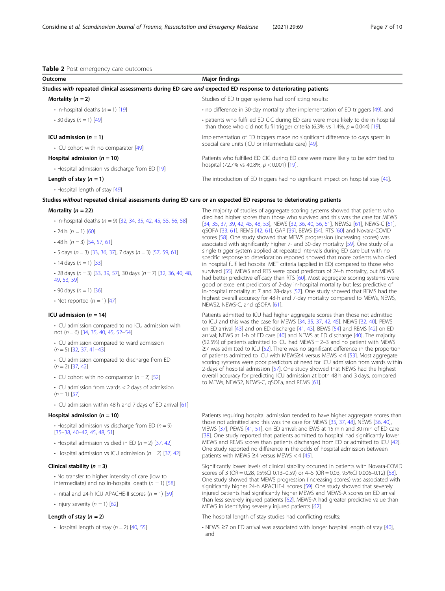<span id="page-6-0"></span>

| Outcome                                                                                                           | <b>Major findings</b>                                                                                                                                                   |  |
|-------------------------------------------------------------------------------------------------------------------|-------------------------------------------------------------------------------------------------------------------------------------------------------------------------|--|
| Studies with repeated clinical assessments during ED care and expected ED response to deteriorating patients      |                                                                                                                                                                         |  |
| Mortality $(n = 2)$                                                                                               | Studies of ED trigger systems had conflicting results:                                                                                                                  |  |
| $\cdot$ In-hospital deaths (n = 1) [19]                                                                           | • no difference in 30-day mortality after implementation of ED triggers [49], and                                                                                       |  |
| • 30 days $(n = 1)$ [49]                                                                                          | • patients who fulfilled ED CIC during ED care were more likely to die in hospital<br>than those who did not fulfil trigger criteria (6.3% vs 1.4%, $p = 0.044$ ) [19]. |  |
| ICU admission $(n = 1)$                                                                                           | Implementation of ED triggers made no significant difference to days spent in                                                                                           |  |
| • ICU cohort with no comparator [49]                                                                              | special care units (ICU or intermediate care) [49].                                                                                                                     |  |
| Hospital admission ( $n = 10$ )                                                                                   | Patients who fulfilled ED CIC during ED care were more likely to be admitted to                                                                                         |  |
| • Hospital admission vs discharge from ED [19]                                                                    | hospital (72.7% vs 40.8%, $p < 0.001$ ) [19].                                                                                                                           |  |
| Length of stay $(n = 1)$                                                                                          | The introduction of ED triggers had no significant impact on hospital stay [49].                                                                                        |  |
| • Hospital length of stay [49]                                                                                    |                                                                                                                                                                         |  |
| Studies without repeated clinical assessments during ED care or an expected ED response to deteriorating patients |                                                                                                                                                                         |  |
| Mortality ( $n = 22$ )                                                                                            | The majority of studies of aggregate scoring systems showed that patients who                                                                                           |  |
| • In-hospital deaths ( $n = 9$ ) [32, 34, 35, 42, 45, 55, 56, 58]                                                 | died had higher scores than those who survived and this was the case for MEWS<br>[34, 35, 37, 39, 42, 45, 48, 53], NEWS [32, 36, 40, 56, 61], NEWS2 [61], NEWS-C [61],  |  |
| $\cdot$ 24 h (n = 1) [60]                                                                                         | qSOFA [33, 61], REMS [42, 61], GAP [39], BEWS [54], RTS [60] and Novara-COVID                                                                                           |  |
| $\cdot$ 48 h (n = 3) [54, 57, 61]                                                                                 | scores [58]. One study showed that MEWS progression (increasing scores) was<br>associated with significantly higher 7- and 30-day mortality [59]. One study of a        |  |
| • 5 days $(n - 3)$ [33, 36, 37], 7 days $(n - 3)$ [57, 59, 61]                                                    | single trigger system applied at repeated intervals during ED care but with no                                                                                          |  |

NEWS2, NEWS-C, and qSOFA [\[61\]](#page-9-0).

- $\cdot$  5 days (n = 3) [\[33](#page-8-0), [36](#page-9-0), [37\]](#page-9-0), 7 days (n = 3) [\[57,](#page-9-0) [59](#page-9-0), [61\]](#page-9-0)
- 14 days  $(n = 1)$  [\[33\]](#page-8-0)
- 28 days  $(n = 3)$  [\[33,](#page-8-0) [39](#page-9-0), [57\]](#page-9-0), 30 days  $(n = 7)$  [[32](#page-8-0), [36,](#page-9-0) [40](#page-9-0), [48,](#page-9-0) [49](#page-9-0), [53,](#page-9-0) [59\]](#page-9-0)
- 90 days  $(n = 1)$  [\[36\]](#page-9-0)
- Not reported  $(n = 1)$  [\[47\]](#page-9-0)

#### ICU admission (n = 14) **Patients admitted to ICU had higher aggregate scores than those not admitted in the set of admitted in the set of admitted in the set of admitted in the set of admitted in the set of admitted in the**

- ICU admission compared to no ICU admission with not  $(n = 6)$  [\[34,](#page-8-0) [35](#page-9-0), [40,](#page-9-0) [45](#page-9-0), [52](#page-9-0)–[54](#page-9-0)]
- ICU admission compared to ward admission  $(n = 5)$  [[32,](#page-8-0) [37,](#page-9-0) [41](#page-9-0)–[43](#page-9-0)]
- ICU admission compared to discharge from ED  $(n = 2)$  [[37,](#page-9-0) [42\]](#page-9-0)
- ICU cohort with no comparator  $(n = 2)$  [[52\]](#page-9-0)
- ICU admission from wards < 2 days of admission  $(n = 1)$  [[57\]](#page-9-0)
- ICU admission within 48 h and 7 days of ED arrival [[61](#page-9-0)]

- Hospital admission vs discharge from ED ( $n = 9$ ) [[35](#page-9-0)–[38,](#page-9-0) [40](#page-9-0)–[42,](#page-9-0) [45](#page-9-0), [48,](#page-9-0) [51](#page-9-0)]
- Hospital admission vs died in ED ( $n = 2$ ) [[37](#page-9-0), [42\]](#page-9-0)
- Hospital admission vs ICU admission  $(n = 2)$  [[37](#page-9-0), [42\]](#page-9-0)

- No transfer to higher intensity of care (low to intermediate) and no in-hospital death  $(n = 1)$  [[58](#page-9-0)]
- Initial and 24-h ICU APACHE-II scores  $(n = 1)$  [[59](#page-9-0)]
- Injury severity  $(n = 1)$  [[62](#page-9-0)]

overall accuracy for predicting ICU admission at both 48 h and 3 days, compared to MEWs, NEWS2, NEWS-C, qSOFa, and REMS [\[61\]](#page-9-0). Hospital admission (n = 10) **Patients requiring hospital admission tended to have higher aggregate scores than** those not admitted and this was the case for MEWS [[35](#page-9-0), [37,](#page-9-0) [48](#page-9-0)], NEWS [\[36,](#page-9-0) [40](#page-9-0)], VIEWS [[37](#page-9-0)], PEWS [\[41,](#page-9-0) [51](#page-9-0)], on ED arrival; and EWS at 15 min and 30 min of ED care [[38](#page-9-0)]. One study reported that patients admitted to hospital had significantly lower

specific response to deterioration reported showed that more patients who died in hospital fulfilled hospital MET criteria (applied in ED) compared to those who survived [\[55](#page-9-0)]. MEWS and RTS were good predictors of 24-h mortality, but MEWS had better predictive efficacy than RTS [\[60\]](#page-9-0). Most aggregate scoring systems were good or excellent predictors of 2-day in-hospital mortality but less predictive of in-hospital mortality at 7 and 28-days [[57](#page-9-0)]. One study showed that REMS had the highest overall accuracy for 48-h and 7-day mortality compared to MEWs, NEWS,

to ICU and this was the case for MEWS [[34](#page-8-0), [35,](#page-9-0) [37,](#page-9-0) [42](#page-9-0), [45\]](#page-9-0), NEWS [[32](#page-8-0), [40\]](#page-9-0), PEWS on ED arrival [[43\]](#page-9-0) and on ED discharge [[41](#page-9-0), [43\]](#page-9-0), BEWS [[54\]](#page-9-0) and REMS [\[42](#page-9-0)] on ED arrival; NEWS at 1-h of ED care [\[40\]](#page-9-0) and NEWS at ED discharge [[40](#page-9-0)]. The majority (52.5%) of patients admitted to ICU had MEWS = 2–3 and no patient with MEWS ≥7 was admitted to ICU [[52](#page-9-0)]. There was no significant difference in the proportion of patients admitted to ICU with MEWS≥4 versus MEWS < 4 [[53\]](#page-9-0). Most aggregate scoring systems were poor predictors of need for ICU admission from wards within 2-days of hospital admission [\[57\]](#page-9-0). One study showed that NEWS had the highest

MEWS and REMS scores than patients discharged from ED or admitted to ICU [\[42\]](#page-9-0). One study reported no difference in the odds of hospital admission between patients with MEWS ≥4 versus MEWS < 4  $[45]$  $[45]$  $[45]$ .

**Clinical stability (n = 3)** Significantly lower levels of clinical stability occurred in patients with Novara-COVID scores of 3 (OR = 0.28, 95%CI 0.13–0.59) or 4–5 (OR = 0.03, 95%CI 0.006–0.12) [\[58\]](#page-9-0). One study showed that MEWS progression (increasing scores) was associated with significantly higher 24-h APACHE-II scores [[59](#page-9-0)]. One study showed that severely injured patients had significantly higher MEWS and MEWS-A scores on ED arrival than less severely injured patients [\[62](#page-9-0)]. MEWS-A had greater predictive value than MEWS in identifying severely injured patients [[62](#page-9-0)].

Length of stay (n = 2) The hospital length of stay studies had conflicting results:

• Hospital length of stay (n = 2) [\[40,](#page-9-0) [55](#page-9-0)] • NEWS ≥7 on ED arrival was associated with longer hospital length of stay [\[40\]](#page-9-0), and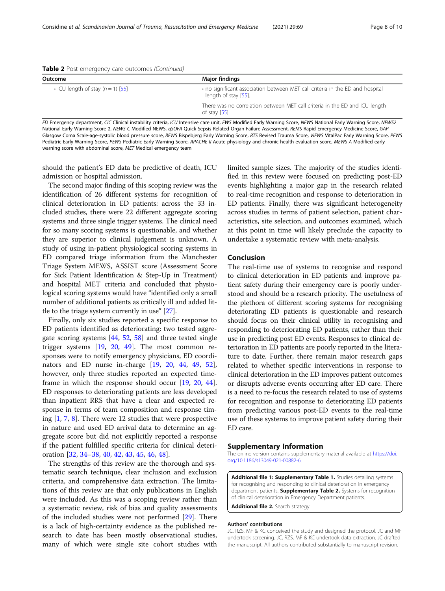<span id="page-7-0"></span>

|  | Table 2 Post emergency care outcomes (Continued) |  |  |
|--|--------------------------------------------------|--|--|
|  |                                                  |  |  |

| Outcome                             | <b>Major findings</b>                                                                                 |
|-------------------------------------|-------------------------------------------------------------------------------------------------------|
| • ICU length of stay $(n = 1)$ [55] | • no significant association between MET call criteria in the ED and hospital<br>length of stay [55]. |
|                                     | There was no correlation between MET call criteria in the ED and ICU length<br>of stay $[55]$ .       |

ED Emergency department, CIC Clinical instability criteria, ICU Intensive care unit, EWS Modified Early Warning Score, NEWS National Early Warning Score, NEWS2 National Early Warning Score 2, NEWS-C Modified NEWS, qSOFA Quick Sepsis Related Organ Failure Assessment, REMS Rapid Emergency Medicine Score, GAP Glasgow Coma Scale-age-systolic blood pressure score, BEWS Bispebjerg Early Warning Score, RTS Revised Trauma Score, ViEWS VitalPac Early Warning Score, PEWS Pediatric Early Warning Score, PEWS Pediatric Early Warning Score, APACHE II Acute physiology and chronic health evaluation score, MEWS-A Modified early warning score with abdominal score, MET Medical emergency team

should the patient's ED data be predictive of death, ICU admission or hospital admission.

The second major finding of this scoping review was the identification of 26 different systems for recognition of clinical deterioration in ED patients: across the 33 included studies, there were 22 different aggregate scoring systems and three single trigger systems. The clinical need for so many scoring systems is questionable, and whether they are superior to clinical judgement is unknown. A study of using in-patient physiological scoring systems in ED compared triage information from the Manchester Triage System MEWS, ASSIST score (Assessment Score for Sick Patient Identification & Step-Up in Treatment) and hospital MET criteria and concluded that physiological scoring systems would have "identified only a small number of additional patients as critically ill and added little to the triage system currently in use" [[27](#page-8-0)].

Finally, only six studies reported a specific response to ED patients identified as deteriorating: two tested aggregate scoring systems [\[44](#page-9-0), [52,](#page-9-0) [58](#page-9-0)] and three tested single trigger systems [\[19](#page-8-0), [20](#page-8-0), [49](#page-9-0)]. The most common responses were to notify emergency physicians, ED coordinators and ED nurse in-charge [[19,](#page-8-0) [20,](#page-8-0) [44](#page-9-0), [49](#page-9-0), [52](#page-9-0)], however, only three studies reported an expected timeframe in which the response should occur [\[19](#page-8-0), [20](#page-8-0), [44](#page-9-0)]. ED responses to deteriorating patients are less developed than inpatient RRS that have a clear and expected response in terms of team composition and response timing [[1](#page-8-0), [7,](#page-8-0) [8\]](#page-8-0). There were 12 studies that were prospective in nature and used ED arrival data to determine an aggregate score but did not explicitly reported a response if the patient fulfilled specific criteria for clinical deterioration [\[32](#page-8-0), [34](#page-8-0)–[38,](#page-9-0) [40,](#page-9-0) [42,](#page-9-0) [43](#page-9-0), [45](#page-9-0), [46](#page-9-0), [48](#page-9-0)].

The strengths of this review are the thorough and systematic search technique, clear inclusion and exclusion criteria, and comprehensive data extraction. The limitations of this review are that only publications in English were included. As this was a scoping review rather than a systematic review, risk of bias and quality assessments of the included studies were not performed [\[29\]](#page-8-0). There is a lack of high-certainty evidence as the published research to date has been mostly observational studies, many of which were single site cohort studies with limited sample sizes. The majority of the studies identified in this review were focused on predicting post-ED events highlighting a major gap in the research related to real-time recognition and response to deterioration in ED patients. Finally, there was significant heterogeneity across studies in terms of patient selection, patient characteristics, site selection, and outcomes examined, which at this point in time will likely preclude the capacity to undertake a systematic review with meta-analysis.

#### Conclusion

The real-time use of systems to recognise and respond to clinical deterioration in ED patients and improve patient safety during their emergency care is poorly understood and should be a research priority. The usefulness of the plethora of different scoring systems for recognising deteriorating ED patients is questionable and research should focus on their clinical utility in recognising and responding to deteriorating ED patients, rather than their use in predicting post ED events. Responses to clinical deterioration in ED patients are poorly reported in the literature to date. Further, there remain major research gaps related to whether specific interventions in response to clinical deterioration in the ED improves patient outcomes or disrupts adverse events occurring after ED care. There is a need to re-focus the research related to use of systems for recognition and response to deteriorating ED patients from predicting various post-ED events to the real-time use of these systems to improve patient safety during their ED care.

#### Supplementary Information

The online version contains supplementary material available at [https://doi.](https://doi.org/10.1186/s13049-021-00882-6) [org/10.1186/s13049-021-00882-6.](https://doi.org/10.1186/s13049-021-00882-6)

Additional file 1: Supplementary Table 1. Studies detailing systems for recognising and responding to clinical deterioration in emergency department patients. **Supplementary Table 2.** Systems for recognition of clinical deterioration in Emergency Department patients.

Additional file 2. Search strategy.

#### Authors' contributions

JC, RZS, MF & KC conceived the study and designed the protocol. JC and MF undertook screening. JC, RZS, MF & KC undertook data extraction. JC drafted the manuscript. All authors contributed substantially to manuscript revision.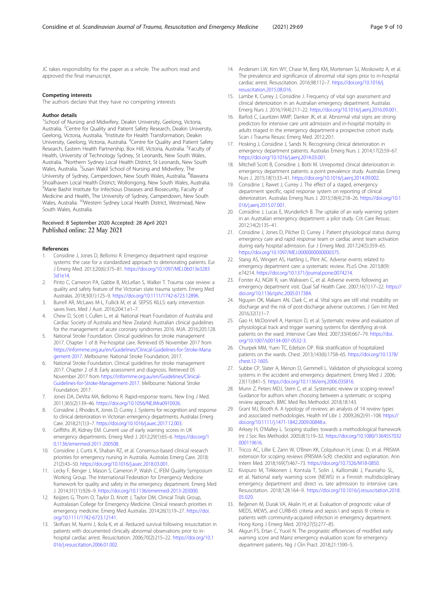<span id="page-8-0"></span>JC takes responsibility for the paper as a whole. The authors read and approved the final manuscript.

#### Competing interests

The authors declare that they have no competing interests

#### Author details

<sup>1</sup>School of Nursing and Midwifery, Deakin University, Geelong, Victoria, Australia. <sup>2</sup> Centre for Quality and Patient Safety Research, Deakin University, Geelong, Victoria, Australia. <sup>3</sup>Institute for Health Transformation, Deakin University, Geelong, Victoria, Australia. <sup>4</sup>Centre for Quality and Patient Safety Research, Eastern Health Partnership, Box Hill, Victoria, Australia. <sup>5</sup>Faculty of Health, University of Technology Sydney, St Leonards, New South Wales, Australia. <sup>6</sup>Northern Sydney Local Health District, St Leonards, New South Wales, Australia. <sup>7</sup>Susan Wakil School of Nursing and Midwifery, The University of Sydney, Camperdown, New South Wales, Australia. <sup>8</sup>Illawarra Shoalhaven Local Health District, Wollongong, New South Wales, Australia. 9 Marie Bashir Institute for Infectious Diseases and Biosecurity, Faculty of Medicine and Health, The University of Sydney, Camperdown, New South Wales, Australia. 10Western Sydney Local Health District, Westmead, New South Wales, Australia.

#### Received: 8 September 2020 Accepted: 28 April 2021 Published online: 22 May 2021

#### References

- Considine J, Jones D, Bellomo R. Emergency department rapid response systems: the case for a standardized approach to deteriorating patients. Eur J Emerg Med. 2013;20(6):375–81. [https://doi.org/10.1097/MEJ.0b013e3283](https://doi.org/10.1097/MEJ.0b013e32835d1e14) [5d1e14.](https://doi.org/10.1097/MEJ.0b013e32835d1e14)
- 2. Pinto C, Cameron PA, Gabbe B, McLellan S, Walker T. Trauma case review: a quality and safety feature of the Victorian state trauma system. Emerg Med Australas. 2018;30(1):125–9. <https://doi.org/10.1111/1742-6723.12896>.
- 3. Burrell AR, McLaws M-L, Fullick M, et al. SEPSIS KILLS: early intervention saves lives. Med J Aust. 2016;204:1.e1–7.
- 4. Chew D, Scott I, Cullen L, et al. National Heart Foundation of Australia and Cardiac Society of Australia and New Zealand: Australian clinical guidelines for the management of acute coronary syndromes 2016. MJA. 2016;205:128.
- 5. National Stroke Foundation. Clinical guidelines for stroke management 2017. Chapter 1 of 8: Pre-hospital care. Retrieved 05 November 2017 from [https://informme.org.au/en/Guidelines/Clinical-Guidelines-for-Stroke-Mana](https://informme.org.au/en/Guidelines/Clinical-Guidelines-for-Stroke-Management-2017) [gement-2017.](https://informme.org.au/en/Guidelines/Clinical-Guidelines-for-Stroke-Management-2017) Melbourne: National Stroke Foundation; 2017.
- 6. National Stroke Foundation. Clinical guidelines for stroke management 2017. Chapter 2 of 8: Early assessment and diagnosis. Retrieved 05 November 2017 from [https://informme.org.au/en/Guidelines/Clinical-](https://informme.org.au/en/Guidelines/Clinical-Guidelines-for-Stroke-Management-2017)[Guidelines-for-Stroke-Management-2017.](https://informme.org.au/en/Guidelines/Clinical-Guidelines-for-Stroke-Management-2017) Melbourne: National Stroke Foundation; 2017.
- 7. Jones DA, DeVita MA, Bellomo R. Rapid-response teams. New Eng J Med. 2011;365(2):139–46. <https://doi.org/10.1056/NEJMra0910926>.
- 8. Considine J, Rhodes K, Jones D, Currey J. Systems for recognition and response to clinical deterioration in Victorian emergency departments. Australas Emerg Care. 2018;21(1):3–7. [https://doi.org/10.1016/j.auec.2017.12.003.](https://doi.org/10.1016/j.auec.2017.12.003)
- 9. Griffiths JR, Kidney EM. Current use of early warning scores in UK emergency departments. Emerg Med J. 2012;29(1):65–6. [https://doi.org/1](https://doi.org/10.1136/emermed-2011-200508) [0.1136/emermed-2011-200508](https://doi.org/10.1136/emermed-2011-200508).
- 10. Considine J, Curtis K, Shaban RZ, et al. Consensus-based clinical research priorities for emergency nursing in Australia. Australas Emerg Care. 2018; 21(2):43–50. [https://doi.org/10.1016/j.auec.2018.03.001.](https://doi.org/10.1016/j.auec.2018.03.001)
- 11. Lecky F, Benger J, Mason S, Cameron P, Walsh C, IFEM Quality Symposium Working Group. The International Federation for Emergency Medicine framework for quality and safety in the emergency department. Emerg Med J. 2014;31(11):926–9. [https://doi.org/10.1136/emermed-2013-203000.](https://doi.org/10.1136/emermed-2013-203000)
- 12. Keijzers G, Thom O, Taylor D, Knott J, Taylor DM, Clinical Trials Group, Australasian College for Emergency Medicine. Clinical research priorities in emergency medicine. Emerg Med Australas. 2014;26(1):19–27. [https://doi.](https://doi.org/10.1111/1742-6723.12141) [org/10.1111/1742-6723.12141.](https://doi.org/10.1111/1742-6723.12141)
- 13. Skrifvars M, Nurmi J, Ikola K, et al. Reduced survival following resuscitation in patients with documented clinically abnormal observations prior to inhospital cardiac arrest. Resuscitation. 2006;70(2):215–22. [https://doi.org/10.1](https://doi.org/10.1016/j.resuscitation.2006.01.002) [016/j.resuscitation.2006.01.002.](https://doi.org/10.1016/j.resuscitation.2006.01.002)
- 14. Andersen LW, Kim WY, Chase M, Berg KM, Mortensen SJ, Moskowitz A, et al. The prevalence and significance of abnormal vital signs prior to in-hospital cardiac arrest. Resuscitation. 2016;98:112–7. [https://doi.org/10.1016/j.](https://doi.org/10.1016/j.resuscitation.2015.08.016) [resuscitation.2015.08.016.](https://doi.org/10.1016/j.resuscitation.2015.08.016)
- 15. Lambe K, Currey J, Considine J. Frequency of vital sign assessment and clinical deterioration in an Australian emergency department. Australas Emerg Nurs J. 2016;19(4):217–22. <https://doi.org/10.1016/j.aenj.2016.09.001>.
- 16. Barfod C, Lauritzen MMP, Danker JK, et al. Abnormal vital signs are strong predictors for intensive care unit admission and in-hospital mortality in adults triaged in the emergency department-a prospective cohort study. Scan J Trauma Resusc Emerg Med. 2012;20:1.
- 17. Hosking J, Considine J, Sands N, Recognising clinical deterioration in emergency department patients. Australas Emerg Nurs J. 2014;17(2):59–67. [https://doi.org/10.1016/j.aenj.2014.03.001.](https://doi.org/10.1016/j.aenj.2014.03.001)
- 18. Mitchell Scott B, Considine J, Botti M. Unreported clinical deterioration in emergency department patients: a point prevalence study. Australas Emerg Nurs J. 2015;18(1):33–41. <https://doi.org/10.1016/j.aenj.2014.09.002>.
- 19. Considine J, Rawet J, Currey J. The effect of a staged, emergency department specific, rapid response system on reporting of clinical deterioration. Australas Emerg Nurs J. 2015;18(4):218–26. [https://doi.org/10.1](https://doi.org/10.1016/j.aenj.2015.07.001) [016/j.aenj.2015.07.001](https://doi.org/10.1016/j.aenj.2015.07.001).
- 20. Considine J, Lucas E, Wunderlich B. The uptake of an early warning system in an Australian emergency department: a pilot study. Crit Care Resusc. 2012;14(2):135–41.
- 21. Considine J, Jones D, Pilcher D, Currey J. Patient physiological status during emergency care and rapid response team or cardiac arrest team activation during early hospital admission. Eur J Emerg Med. 2017;24(5):359–65. [https://doi.org/10.1097/MEJ.0000000000000375.](https://doi.org/10.1097/MEJ.0000000000000375)
- 22. Stang AS, Wingert AS, Hartling L, Plint AC. Adverse events related to emergency department care: a systematic review. PLoS One. 2013;8(9): e74214. <https://doi.org/10.1371/journal.pone.0074214>.
- 23. Forster AJ, NGW R, van Walraven C, et al. Adverse events following an emergency department visit. Qual Saf Health Care. 2007;16(1):17–22. [https://](https://doi.org/10.1136/qshc.2005.017384) [doi.org/10.1136/qshc.2005.017384](https://doi.org/10.1136/qshc.2005.017384).
- 24. Nguyen OK, Makam AN, Clark C, et al. Vital signs are still vital: instability on discharge and the risk of post-discharge adverse outcomes. J Gen Int Med. 2016;32(1):1–7.
- 25. Gao H, McDonnell A, Harrison D, et al. Systematic review and evaluation of physiological track and trigger warning systems for identifying at-risk patients on the ward. Intensive Care Med. 2007;33(4):667–79. [https://doi.](https://doi.org/10.1007/s00134-007-0532-3) [org/10.1007/s00134-007-0532-3](https://doi.org/10.1007/s00134-007-0532-3).
- 26. Churpek MM, Yuen TC, Edelson DP. Risk stratification of hospitalized patients on the wards. Chest. 2013;143(6):1758–65. [https://doi.org/10.1378/](https://doi.org/10.1378/chest.12-1605) [chest.12-1605.](https://doi.org/10.1378/chest.12-1605)
- 27. Subbe CP, Slater A, Menon D, Gemmell L. Validation of physiological scoring systems in the accident and emergency department. Emerg Med J. 2006; 23(11):841–5. <https://doi.org/10.1136/emj.2006.035816>.
- 28. Munn Z, Peters MDJ, Stern C, et al. Systematic review or scoping review? Guidance for authors when choosing between a systematic or scoping review approach. BMC Med Res Methodol. 2018;18:143.
- 29. Grant MJ, Booth A. A typology of reviews: an analysis of 14 review types and associated methodologies. Health Inf Libr J. 2009;26(2):91–108. [https://](https://doi.org/10.1111/j.1471-1842.2009.00848.x) [doi.org/10.1111/j.1471-1842.2009.00848.x.](https://doi.org/10.1111/j.1471-1842.2009.00848.x)
- 30. Arksey H, O'Malley L. Scoping studies: towards a methodological framework. Int J Soc Res Methodol. 2005;8(1):19–32. [https://doi.org/10.1080/1364557032](https://doi.org/10.1080/1364557032000119616) [000119616](https://doi.org/10.1080/1364557032000119616).
- 31. Tricco AC, Lillie E, Zarin W, O'Brien KK, Colquhoun H, Levac D, et al. PRISMA extension for scoping reviews (PRISMA-ScR): checklist and explanation. Ann Intern Med. 2018;169(7):467–73. <https://doi.org/10.7326/M18-0850>.
- 32. Kivipuro M, Tirkkonen J, Kontula T, Solin J, Kalliomäki J, Pauniaho SL, et al. National early warning score (NEWS) in a Finnish multidisciplinary emergency department and direct vs. late admission to intensive care. Resuscitation. 2018;128:164–9. [https://doi.org/10.1016/j.resuscitation.2018.](https://doi.org/10.1016/j.resuscitation.2018.05.020) [05.020.](https://doi.org/10.1016/j.resuscitation.2018.05.020)
- Beğenen M, Durak VA, Akalın H, et al. Evaluation of prognostic value of MEDS, MEWS, and CURB-65 criteria and sepsis I and sepsis III criteria in patients with community-acquired infection in emergency department. Hong Kong J Emerg Med. 2019;27(5):277–85.
- 34. Akgun FS, Ertan C, Yucel N. The prognastic efficiencies of modified early warning score and Mainz emergency evaluation score for emergency department patients. Nig J Clin Pract. 2018;21:1590–5.